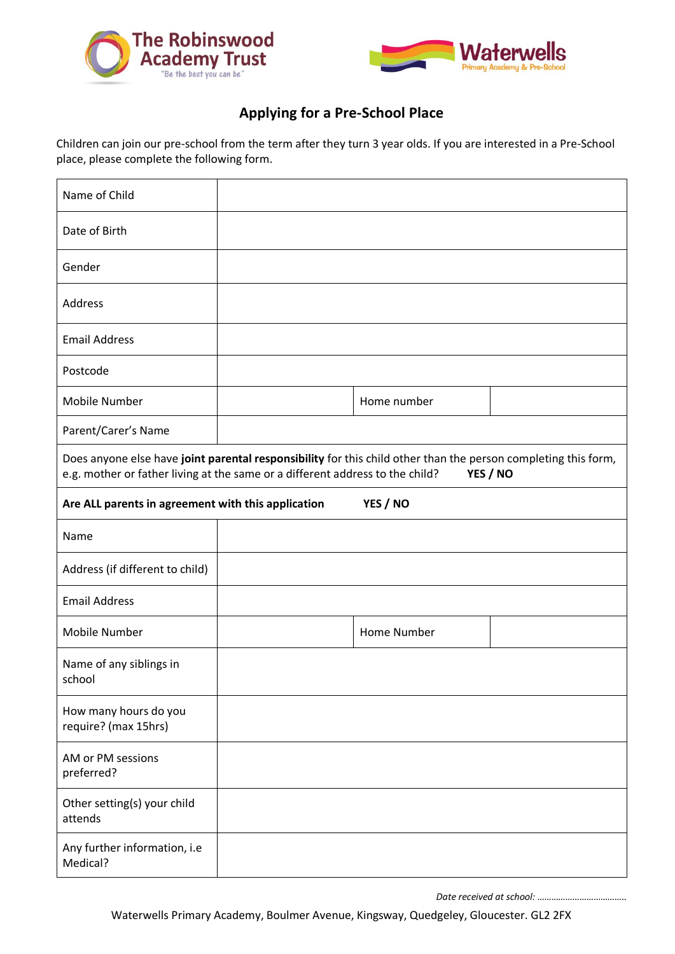



## **Applying for a Pre-School Place**

Children can join our pre-school from the term after they turn 3 year olds. If you are interested in a Pre-School place, please complete the following form.

| Name of Child                                                                                                                                                                                               |  |             |  |
|-------------------------------------------------------------------------------------------------------------------------------------------------------------------------------------------------------------|--|-------------|--|
| Date of Birth                                                                                                                                                                                               |  |             |  |
| Gender                                                                                                                                                                                                      |  |             |  |
| Address                                                                                                                                                                                                     |  |             |  |
| <b>Email Address</b>                                                                                                                                                                                        |  |             |  |
| Postcode                                                                                                                                                                                                    |  |             |  |
| Mobile Number                                                                                                                                                                                               |  | Home number |  |
| Parent/Carer's Name                                                                                                                                                                                         |  |             |  |
| Does anyone else have joint parental responsibility for this child other than the person completing this form,<br>e.g. mother or father living at the same or a different address to the child?<br>YES / NO |  |             |  |
| YES / NO<br>Are ALL parents in agreement with this application                                                                                                                                              |  |             |  |
| Name                                                                                                                                                                                                        |  |             |  |
| Address (if different to child)                                                                                                                                                                             |  |             |  |
| <b>Email Address</b>                                                                                                                                                                                        |  |             |  |
| Mobile Number                                                                                                                                                                                               |  | Home Number |  |
| Name of any siblings in<br>school                                                                                                                                                                           |  |             |  |
| How many hours do you<br>require? (max 15hrs)                                                                                                                                                               |  |             |  |
| AM or PM sessions<br>preferred?                                                                                                                                                                             |  |             |  |
| Other setting(s) your child<br>attends                                                                                                                                                                      |  |             |  |
| Any further information, i.e<br>Medical?                                                                                                                                                                    |  |             |  |

*Date received at school: ………………………………..*

Waterwells Primary Academy, Boulmer Avenue, Kingsway, Quedgeley, Gloucester. GL2 2FX